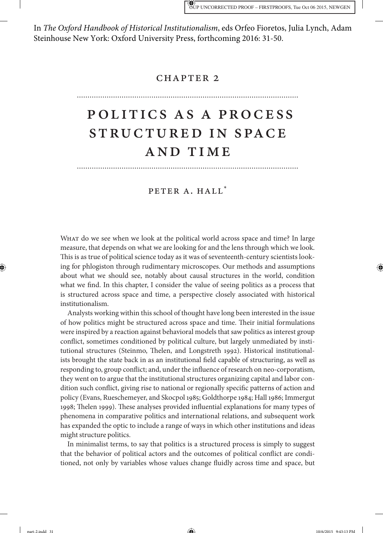In *The Oxford Handbook of Historical Institutionalism*, eds Orfeo Fioretos, Julia Lynch, Adam Steinhouse New York: Oxford University Press, forthcoming 2016: 31-50.

### CHAPTER 2

# POLITICS AS A PROCESS Structured in Space and Time

### PETER A. HALL<sup>\*</sup>

WHAT do we see when we look at the political world across space and time? In large measure, that depends on what we are looking for and the lens through which we look. This is as true of political science today as it was of seventeenth-century scientists looking for phlogiston through rudimentary microscopes. Our methods and assumptions about what we should see, notably about causal structures in the world, condition what we find. In this chapter, I consider the value of seeing politics as a process that is structured across space and time, a perspective closely associated with historical institutionalism.

 Analysts working within this school of thought have long been interested in the issue of how politics might be structured across space and time. Their initial formulations were inspired by a reaction against behavioral models that saw politics as interest group conflict, sometimes conditioned by political culture, but largely unmediated by institutional structures (Steinmo, Thelen, and Longstreth 1992). Historical institutionalists brought the state back in as an institutional field capable of structuring, as well as responding to, group conflict; and, under the influence of research on neo-corporatism, they went on to argue that the institutional structures organizing capital and labor condition such conflict, giving rise to national or regionally specific patterns of action and policy (Evans, Rueschemeyer, and Skocpol 1985; Goldthorpe 1984; Hall 1986; Immergut 1998; Thelen 1999). These analyses provided influential explanations for many types of phenomena in comparative politics and international relations, and subsequent work has expanded the optic to include a range of ways in which other institutions and ideas might structure politics.

 In minimalist terms, to say that politics is a structured process is simply to suggest that the behavior of political actors and the outcomes of political conflict are conditioned, not only by variables whose values change fluidly across time and space, but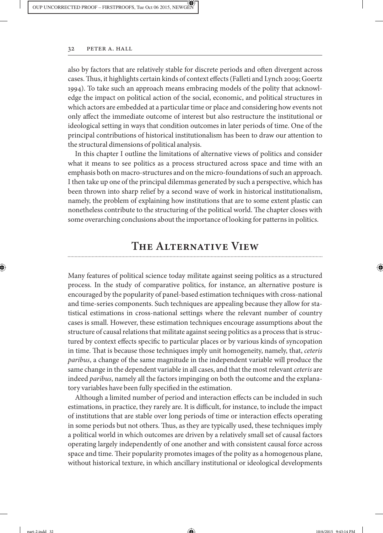also by factors that are relatively stable for discrete periods and often divergent across cases. Thus, it highlights certain kinds of context effects (Falleti and Lynch 2009; Goertz 1994). To take such an approach means embracing models of the polity that acknowledge the impact on political action of the social, economic, and political structures in which actors are embedded at a particular time or place and considering how events not only affect the immediate outcome of interest but also restructure the institutional or ideological setting in ways that condition outcomes in later periods of time. One of the principal contributions of historical institutionalism has been to draw our attention to the structural dimensions of political analysis.

 In this chapter I outline the limitations of alternative views of politics and consider what it means to see politics as a process structured across space and time with an emphasis both on macro-structures and on the micro-foundations of such an approach. I then take up one of the principal dilemmas generated by such a perspective, which has been thrown into sharp relief by a second wave of work in historical institutionalism, namely, the problem of explaining how institutions that are to some extent plastic can nonetheless contribute to the structuring of the political world. The chapter closes with some overarching conclusions about the importance of looking for patterns in politics.

### **The Alternative View**

 Many features of political science today militate against seeing politics as a structured process. In the study of comparative politics, for instance, an alternative posture is encouraged by the popularity of panel-based estimation techniques with cross-national and time-series components. Such techniques are appealing because they allow for statistical estimations in cross-national settings where the relevant number of country cases is small. However, these estimation techniques encourage assumptions about the structure of causal relations that militate against seeing politics as a process that is structured by context effects specific to particular places or by various kinds of syncopation in time. That is because those techniques imply unit homogeneity, namely, that, *ceteris paribus* , a change of the same magnitude in the independent variable will produce the same change in the dependent variable in all cases, and that the most relevant *ceteris* are indeed *paribus* , namely all the factors impinging on both the outcome and the explanatory variables have been fully specified in the estimation.

Although a limited number of period and interaction effects can be included in such estimations, in practice, they rarely are. It is difficult, for instance, to include the impact of institutions that are stable over long periods of time or interaction effects operating in some periods but not others. Thus, as they are typically used, these techniques imply a political world in which outcomes are driven by a relatively small set of causal factors operating largely independently of one another and with consistent causal force across space and time. Their popularity promotes images of the polity as a homogenous plane, without historical texture, in which ancillary institutional or ideological developments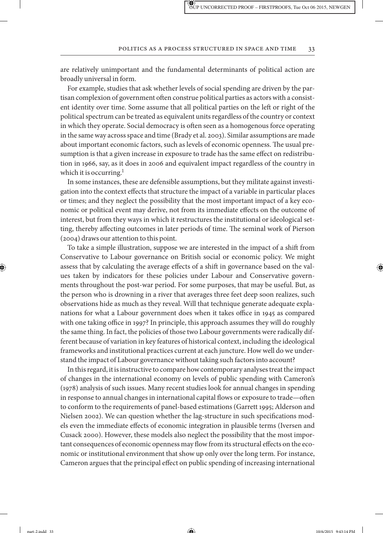are relatively unimportant and the fundamental determinants of political action are broadly universal in form.

 For example, studies that ask whether levels of social spending are driven by the partisan complexion of government often construe political parties as actors with a consistent identity over time. Some assume that all political parties on the left or right of the political spectrum can be treated as equivalent units regardless of the country or context in which they operate. Social democracy is often seen as a homogenous force operating in the same way across space and time (Brady et al. 2003). Similar assumptions are made about important economic factors, such as levels of economic openness. The usual presumption is that a given increase in exposure to trade has the same effect on redistribution in 1966, say, as it does in 2006 and equivalent impact regardless of the country in which it is occurring. $<sup>1</sup>$ </sup>

 In some instances, these are defensible assumptions, but they militate against investigation into the context effects that structure the impact of a variable in particular places or times; and they neglect the possibility that the most important impact of a key economic or political event may derive, not from its immediate effects on the outcome of interest, but from they ways in which it restructures the institutional or ideological setting, thereby affecting outcomes in later periods of time. The seminal work of Pierson (2004) draws our attention to this point.

 To take a simple illustration, suppose we are interested in the impact of a shift from Conservative to Labour governance on British social or economic policy. We might assess that by calculating the average effects of a shift in governance based on the values taken by indicators for these policies under Labour and Conservative governments throughout the post-war period. For some purposes, that may be useful. But, as the person who is drowning in a river that averages three feet deep soon realizes, such observations hide as much as they reveal. Will that technique generate adequate explanations for what a Labour government does when it takes office in 1945 as compared with one taking office in 1997? In principle, this approach assumes they will do roughly the same thing. In fact, the policies of those two Labour governments were radically different because of variation in key features of historical context, including the ideological frameworks and institutional practices current at each juncture. How well do we understand the impact of Labour governance without taking such factors into account?

 In this regard, it is instructive to compare how contemporary analyses treat the impact of changes in the international economy on levels of public spending with Cameron's (1978) analysis of such issues. Many recent studies look for annual changes in spending in response to annual changes in international capital flows or exposure to trade—often to conform to the requirements of panel-based estimations (Garrett 1995; Alderson and Nielsen 2002). We can question whether the lag-structure in such specifications models even the immediate effects of economic integration in plausible terms (Iversen and Cusack 2000). However, these models also neglect the possibility that the most important consequences of economic openness may flow from its structural effects on the economic or institutional environment that show up only over the long term. For instance, Cameron argues that the principal effect on public spending of increasing international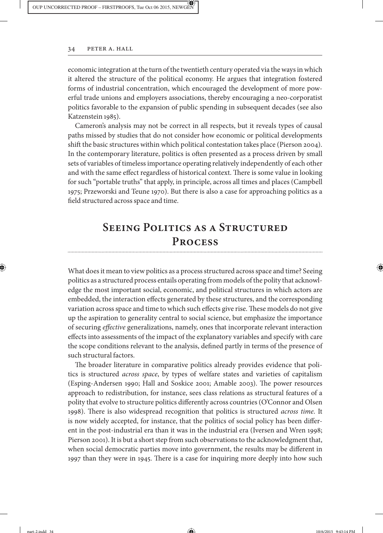economic integration at the turn of the twentieth century operated via the ways in which it altered the structure of the political economy. He argues that integration fostered forms of industrial concentration, which encouraged the development of more powerful trade unions and employers associations, thereby encouraging a neo-corporatist politics favorable to the expansion of public spending in subsequent decades (see also Katzenstein 1985).

 Cameron's analysis may not be correct in all respects, but it reveals types of causal paths missed by studies that do not consider how economic or political developments shift the basic structures within which political contestation takes place (Pierson 2004). In the contemporary literature, politics is often presented as a process driven by small sets of variables of timeless importance operating relatively independently of each other and with the same effect regardless of historical context. There is some value in looking for such "portable truths" that apply, in principle, across all times and places (Campbell 1975; Przeworski and Teune 1970). But there is also a case for approaching politics as a field structured across space and time.

## **SEEING POLITICS AS A STRUCTURED Process**

 What does it mean to view politics as a process structured across space and time? Seeing politics as a structured process entails operating from models of the polity that acknowledge the most important social, economic, and political structures in which actors are embedded, the interaction effects generated by these structures, and the corresponding variation across space and time to which such effects give rise. These models do not give up the aspiration to generality central to social science, but emphasize the importance of securing *effective* generalizations, namely, ones that incorporate relevant interaction effects into assessments of the impact of the explanatory variables and specify with care the scope conditions relevant to the analysis, defined partly in terms of the presence of such structural factors.

The broader literature in comparative politics already provides evidence that politics is structured *across space* , by types of welfare states and varieties of capitalism (Esping-Andersen 1990; Hall and Soskice 2001; Amable 2003). Th e power resources approach to redistribution, for instance, sees class relations as structural features of a polity that evolve to structure politics differently across countries (O'Connor and Olsen 1998). There is also widespread recognition that politics is structured *across time*. It is now widely accepted, for instance, that the politics of social policy has been different in the post-industrial era than it was in the industrial era (Iversen and Wren 1998; Pierson 2001). It is but a short step from such observations to the acknowledgment that, when social democratic parties move into government, the results may be different in 1997 than they were in 1945. There is a case for inquiring more deeply into how such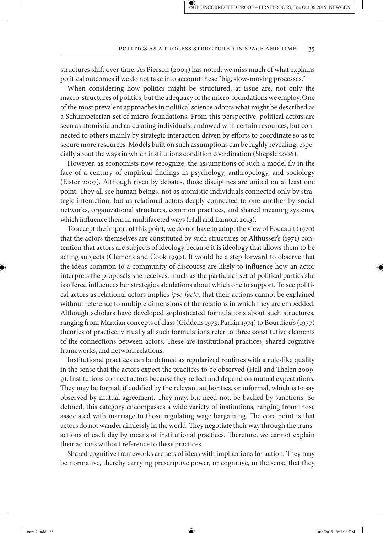structures shift over time. As Pierson (2004) has noted, we miss much of what explains political outcomes if we do not take into account these "big, slow-moving processes."

 When considering how politics might be structured, at issue are, not only the macro-structures of politics, but the adequacy of the micro-foundations we employ. One of the most prevalent approaches in political science adopts what might be described as a Schumpeterian set of micro-foundations. From this perspective, political actors are seen as atomistic and calculating individuals, endowed with certain resources, but connected to others mainly by strategic interaction driven by efforts to coordinate so as to secure more resources. Models built on such assumptions can be highly revealing, especially about the ways in which institutions condition coordination (Shepsle 2006).

However, as economists now recognize, the assumptions of such a model fly in the face of a century of empirical findings in psychology, anthropology, and sociology (Elster 2007). Although riven by debates, those disciplines are united on at least one point. They all see human beings, not as atomistic individuals connected only by strategic interaction, but as relational actors deeply connected to one another by social networks, organizational structures, common practices, and shared meaning systems, which influence them in multifaceted ways (Hall and Lamont 2013).

 To accept the import of this point, we do not have to adopt the view of Foucault (1970) that the actors themselves are constituted by such structures or Althusser's (1971) contention that actors are subjects of ideology because it is ideology that allows them to be acting subjects (Clemens and Cook 1999). It would be a step forward to observe that the ideas common to a community of discourse are likely to influence how an actor interprets the proposals she receives, much as the particular set of political parties she is offered influences her strategic calculations about which one to support. To see political actors as relational actors implies *ipso facto* , that their actions cannot be explained without reference to multiple dimensions of the relations in which they are embedded. Although scholars have developed sophisticated formulations about such structures, ranging from Marxian concepts of class (Giddens 1973; Parkin 1974) to Bourdieu's (1977) theories of practice, virtually all such formulations refer to three constitutive elements of the connections between actors. These are institutional practices, shared cognitive frameworks, and network relations.

Institutional practices can be defined as regularized routines with a rule-like quality in the sense that the actors expect the practices to be observed (Hall and Thelen 2009, 9). Institutions connect actors because they reflect and depend on mutual expectations. They may be formal, if codified by the relevant authorities, or informal, which is to say observed by mutual agreement. They may, but need not, be backed by sanctions. So defined, this category encompasses a wide variety of institutions, ranging from those associated with marriage to those regulating wage bargaining. The core point is that actors do not wander aimlessly in the world. They negotiate their way through the transactions of each day by means of institutional practices. Therefore, we cannot explain their actions without reference to these practices.

Shared cognitive frameworks are sets of ideas with implications for action. They may be normative, thereby carrying prescriptive power, or cognitive, in the sense that they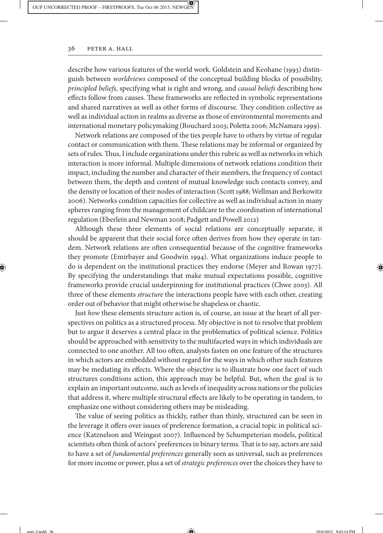describe how various features of the world work. Goldstein and Keohane (1993) distinguish between *worldviews* composed of the conceptual building blocks of possibility, *principled beliefs,* specifying what is right and wrong, and *causal beliefs* describing how effects follow from causes. These frameworks are reflected in symbolic representations and shared narratives as well as other forms of discourse. They condition collective as well as individual action in realms as diverse as those of environmental movements and international monetary policymaking (Bouchard 2003; Poletta 2006; McNamara 1999).

 Network relations are composed of the ties people have to others by virtue of regular contact or communication with them. These relations may be informal or organized by sets of rules. Thus, I include organizations under this rubric as well as networks in which interaction is more informal. Multiple dimensions of network relations condition their impact, including the number and character of their members, the frequency of contact between them, the depth and content of mutual knowledge such contacts convey, and the density or location of their nodes of interaction (Scott 1988; Wellman and Berkowitz 2006). Networks condition capacities for collective as well as individual action in many spheres ranging from the management of childcare to the coordination of international regulation (Eberlein and Newman 2008; Padgett and Powell 2012)

 Although these three elements of social relations are conceptually separate, it should be apparent that their social force often derives from how they operate in tandem. Network relations are often consequential because of the cognitive frameworks they promote (Emirbayer and Goodwin 1994). What organizations induce people to do is dependent on the institutional practices they endorse (Meyer and Rowan 1977). By specifying the understandings that make mutual expectations possible, cognitive frameworks provide crucial underpinning for institutional practices (Chwe 2003). All three of these elements *structure* the interactions people have with each other, creating order out of behavior that might otherwise be shapeless or chaotic.

 Just *how* these elements structure action is, of course, an issue at the heart of all perspectives on politics as a structured process. My objective is not to resolve that problem but to argue it deserves a central place in the problematics of political science. Politics should be approached with sensitivity to the multifaceted ways in which individuals are connected to one another. All too often, analysts fasten on one feature of the structures in which actors are embedded without regard for the ways in which other such features may be mediating its effects. Where the objective is to illustrate how one facet of such structures conditions action, this approach may be helpful. But, when the goal is to explain an important outcome, such as levels of inequality across nations or the policies that address it, where multiple structural effects are likely to be operating in tandem, to emphasize one without considering others may be misleading.

The value of seeing politics as thickly, rather than thinly, structured can be seen in the leverage it offers over issues of preference formation, a crucial topic in political science (Katznelson and Weingast 2007). Influenced by Schumpeterian models, political scientists often think of actors' preferences in binary terms. That is to say, actors are said to have a set of *fundamental preferences* generally seen as universal, such as preferences for more income or power, plus a set of *strategic preferences* over the choices they have to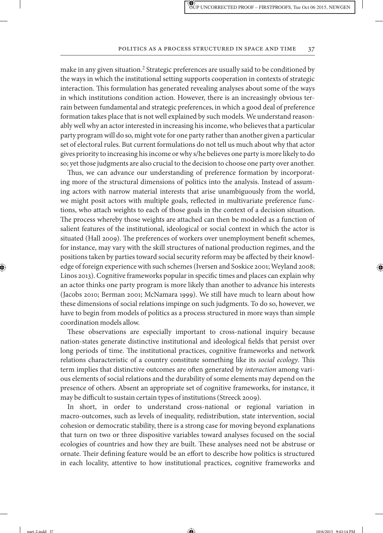make in any given situation.<sup>2</sup> Strategic preferences are usually said to be conditioned by the ways in which the institutional setting supports cooperation in contexts of strategic interaction. This formulation has generated revealing analyses about some of the ways in which institutions condition action. However, there is an increasingly obvious terrain between fundamental and strategic preferences, in which a good deal of preference formation takes place that is not well explained by such models. We understand reasonably well why an actor interested in increasing his income, who believes that a particular party program will do so, might vote for one party rather than another given a particular set of electoral rules. But current formulations do not tell us much about why that actor gives priority to increasing his income or why s/he believes one party is more likely to do so; yet those judgments are also crucial to the decision to choose one party over another.

Thus, we can advance our understanding of preference formation by incorporating more of the structural dimensions of politics into the analysis. Instead of assuming actors with narrow material interests that arise unambiguously from the world, we might posit actors with multiple goals, reflected in multivariate preference functions, who attach weights to each of those goals in the context of a decision situation. The process whereby those weights are attached can then be modeled as a function of salient features of the institutional, ideological or social context in which the actor is situated (Hall 2009). The preferences of workers over unemployment benefit schemes, for instance, may vary with the skill structures of national production regimes, and the positions taken by parties toward social security reform may be affected by their knowledge of foreign experience with such schemes (Iversen and Soskice 2001; Weyland 2008; Linos 2013). Cognitive frameworks popular in specific times and places can explain why an actor thinks one party program is more likely than another to advance his interests (Jacobs 2010; Berman 2001; McNamara 1999). We still have much to learn about how these dimensions of social relations impinge on such judgments. To do so, however, we have to begin from models of politics as a process structured in more ways than simple coordination models allow.

These observations are especially important to cross-national inquiry because nation-states generate distinctive institutional and ideological fields that persist over long periods of time. The institutional practices, cognitive frameworks and network relations characteristic of a country constitute something like its *social ecology*. This term implies that distinctive outcomes are often generated by *interaction* among various elements of social relations and the durability of some elements may depend on the presence of others. Absent an appropriate set of cognitive frameworks, for instance, it may be difficult to sustain certain types of institutions (Streeck 2009).

 In short, in order to understand cross-national or regional variation in macro-outcomes, such as levels of inequality, redistribution, state intervention, social cohesion or democratic stability, there is a strong case for moving beyond explanations that turn on two or three dispositive variables toward analyses focused on the social ecologies of countries and how they are built. These analyses need not be abstruse or ornate. Their defining feature would be an effort to describe how politics is structured in each locality, attentive to how institutional practices, cognitive frameworks and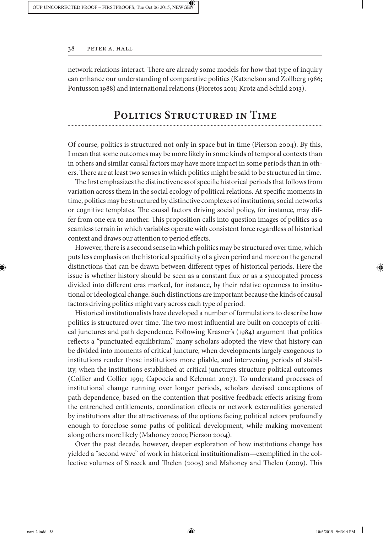network relations interact. There are already some models for how that type of inquiry can enhance our understanding of comparative politics (Katznelson and Zollberg 1986; Pontusson 1988) and international relations (Fioretos 2011; Krotz and Schild 2013).

### **Politics Structured in Time**

 Of course, politics is structured not only in space but in time (Pierson 2004). By this, I mean that some outcomes may be more likely in some kinds of temporal contexts than in others and similar causal factors may have more impact in some periods than in others. There are at least two senses in which politics might be said to be structured in time.

The first emphasizes the distinctiveness of specific historical periods that follows from variation across them in the social ecology of political relations. At specific moments in time, politics may be structured by distinctive complexes of institutions, social networks or cognitive templates. The causal factors driving social policy, for instance, may differ from one era to another. This proposition calls into question images of politics as a seamless terrain in which variables operate with consistent force regardless of historical context and draws our attention to period effects.

 However, there is a second sense in which politics may be structured over time, which puts less emphasis on the historical specificity of a given period and more on the general distinctions that can be drawn between different types of historical periods. Here the issue is whether history should be seen as a constant flux or as a syncopated process divided into different eras marked, for instance, by their relative openness to institutional or ideological change. Such distinctions are important because the kinds of causal factors driving politics might vary across each type of period.

 Historical institutionalists have developed a number of formulations to describe how politics is structured over time. The two most influential are built on concepts of critical junctures and path dependence. Following Krasner's (1984) argument that politics reflects a "punctuated equilibrium," many scholars adopted the view that history can be divided into moments of critical juncture, when developments largely exogenous to institutions render those institutions more pliable, and intervening periods of stability, when the institutions established at critical junctures structure political outcomes (Collier and Collier 1991; Capoccia and Keleman 2007). To understand processes of institutional change running over longer periods, scholars devised conceptions of path dependence, based on the contention that positive feedback effects arising from the entrenched entitlements, coordination effects or network externalities generated by institutions alter the attractiveness of the options facing political actors profoundly enough to foreclose some paths of political development, while making movement along others more likely (Mahoney 2000; Pierson 2004).

 Over the past decade, however, deeper exploration of how institutions change has yielded a "second wave" of work in historical instituitionalism—exemplified in the collective volumes of Streeck and Thelen (2005) and Mahoney and Thelen (2009). This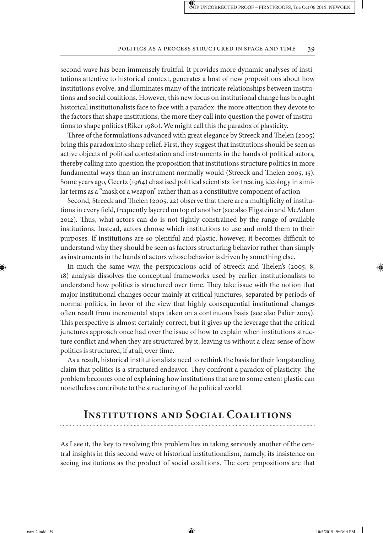second wave has been immensely fruitful. It provides more dynamic analyses of institutions attentive to historical context, generates a host of new propositions about how institutions evolve, and illuminates many of the intricate relationships between institutions and social coalitions. However, this new focus on institutional change has brought historical institutionalists face to face with a paradox: the more attention they devote to the factors that shape institutions, the more they call into question the power of institutions to shape politics (Riker 1980). We might call this the paradox of plasticity.

Three of the formulations advanced with great elegance by Streeck and Thelen (2005) bring this paradox into sharp relief. First, they suggest that institutions should be seen as active objects of political contestation and instruments in the hands of political actors, thereby calling into question the proposition that institutions structure politics in more fundamental ways than an instrument normally would (Streeck and Thelen 2005, 15). Some years ago, Geertz (1964) chastised political scientists for treating ideology in similar terms as a "mask or a weapon" rather than as a constitutive component of action

Second, Streeck and Thelen (2005, 22) observe that there are a multiplicity of institutions in every field, frequently layered on top of another (see also Fligstein and McAdam 2012). Thus, what actors can do is not tightly constrained by the range of available institutions. Instead, actors choose which institutions to use and mold them to their purposes. If institutions are so plentiful and plastic, however, it becomes difficult to understand why they should be seen as factors structuring behavior rather than simply as instruments in the hands of actors whose behavior is driven by something else.

In much the same way, the perspicacious acid of Streeck and Thelen's (2005, 8, 18) analysis dissolves the conceptual frameworks used by earlier institutionalists to understand how politics is structured over time. They take issue with the notion that major institutional changes occur mainly at critical junctures, separated by periods of normal politics, in favor of the view that highly consequential institutional changes often result from incremental steps taken on a continuous basis (see also Palier 2005). This perspective is almost certainly correct, but it gives up the leverage that the critical junctures approach once had over the issue of how to explain when institutions structure conflict and when they are structured by it, leaving us without a clear sense of how politics is structured, if at all, over time.

 As a result, historical institutionalists need to rethink the basis for their longstanding claim that politics is a structured endeavor. They confront a paradox of plasticity. The problem becomes one of explaining how institutions that are to some extent plastic can nonetheless contribute to the structuring of the political world.

### **Institutions and Social Coalitions**

 As I see it, the key to resolving this problem lies in taking seriously another of the central insights in this second wave of historical institutionalism, namely, its insistence on seeing institutions as the product of social coalitions. The core propositions are that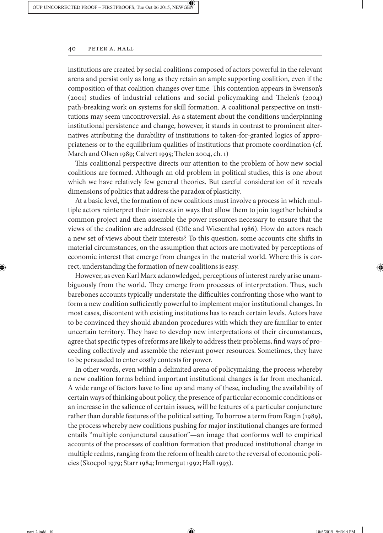institutions are created by social coalitions composed of actors powerful in the relevant arena and persist only as long as they retain an ample supporting coalition, even if the composition of that coalition changes over time. This contention appears in Swenson's  $(2001)$  studies of industrial relations and social policymaking and Thelen's  $(2004)$ path-breaking work on systems for skill formation. A coalitional perspective on institutions may seem uncontroversial. As a statement about the conditions underpinning institutional persistence and change, however, it stands in contrast to prominent alternatives attributing the durability of institutions to taken-for-granted logics of appropriateness or to the equilibrium qualities of institutions that promote coordination (cf. March and Olsen 1989; Calvert 1995; Thelen 2004, ch. 1)

This coalitional perspective directs our attention to the problem of how new social coalitions are formed. Although an old problem in political studies, this is one about which we have relatively few general theories. But careful consideration of it reveals dimensions of politics that address the paradox of plasticity.

 At a basic level, the formation of new coalitions must involve a process in which multiple actors reinterpret their interests in ways that allow them to join together behind a common project and then assemble the power resources necessary to ensure that the views of the coalition are addressed (Offe and Wiesenthal 1986). How do actors reach a new set of views about their interests? To this question, some accounts cite shifts in material circumstances, on the assumption that actors are motivated by perceptions of economic interest that emerge from changes in the material world. Where this is correct, understanding the formation of new coalitions is easy.

 However, as even Karl Marx acknowledged, perceptions of interest rarely arise unambiguously from the world. They emerge from processes of interpretation. Thus, such barebones accounts typically understate the difficulties confronting those who want to form a new coalition sufficiently powerful to implement major institutional changes. In most cases, discontent with existing institutions has to reach certain levels. Actors have to be convinced they should abandon procedures with which they are familiar to enter uncertain territory. They have to develop new interpretations of their circumstances, agree that specific types of reforms are likely to address their problems, find ways of proceeding collectively and assemble the relevant power resources. Sometimes, they have to be persuaded to enter costly contests for power.

 In other words, even within a delimited arena of policymaking, the process whereby a new coalition forms behind important institutional changes is far from mechanical. A wide range of factors have to line up and many of these, including the availability of certain ways of thinking about policy, the presence of particular economic conditions or an increase in the salience of certain issues, will be features of a particular conjuncture rather than durable features of the political setting. To borrow a term from Ragin (1989), the process whereby new coalitions pushing for major institutional changes are formed entails "multiple conjunctural causation"—an image that conforms well to empirical accounts of the processes of coalition formation that produced institutional change in multiple realms, ranging from the reform of health care to the reversal of economic policies (Skocpol 1979; Starr 1984; Immergut 1992; Hall 1993).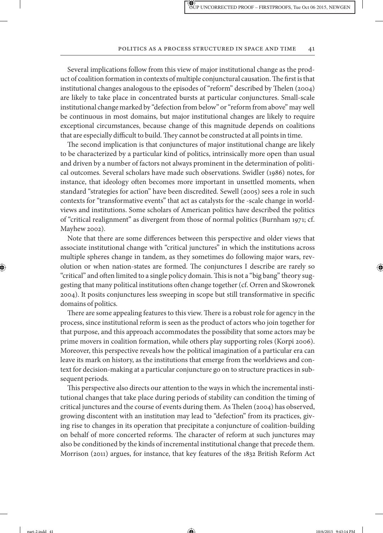Several implications follow from this view of major institutional change as the product of coalition formation in contexts of multiple conjunctural causation. The first is that institutional changes analogous to the episodes of "reform" described by Thelen (2004) are likely to take place in concentrated bursts at particular conjunctures. Small-scale institutional change marked by "defection from below" or "reform from above" may well be continuous in most domains, but major institutional changes are likely to require exceptional circumstances, because change of this magnitude depends on coalitions that are especially difficult to build. They cannot be constructed at all points in time.

The second implication is that conjunctures of major institutional change are likely to be characterized by a particular kind of politics, intrinsically more open than usual and driven by a number of factors not always prominent in the determination of political outcomes. Several scholars have made such observations. Swidler (1986) notes, for instance, that ideology often becomes more important in unsettled moments, when standard "strategies for action" have been discredited. Sewell (2005) sees a role in such contexts for "transformative events" that act as catalysts for the -scale change in worldviews and institutions. Some scholars of American politics have described the politics of "critical realignment" as divergent from those of normal politics (Burnham 1971; cf. Mayhew 2002).

Note that there are some differences between this perspective and older views that associate institutional change with "critical junctures" in which the institutions across multiple spheres change in tandem, as they sometimes do following major wars, revolution or when nation-states are formed. The conjunctures I describe are rarely so "critical" and often limited to a single policy domain. This is not a "big bang" theory suggesting that many political institutions often change together (cf. Orren and Skowronek 2004). It posits conjunctures less sweeping in scope but still transformative in specific domains of politics.

There are some appealing features to this view. There is a robust role for agency in the process, since institutional reform is seen as the product of actors who join together for that purpose, and this approach accommodates the possibility that some actors may be prime movers in coalition formation, while others play supporting roles (Korpi 2006). Moreover, this perspective reveals how the political imagination of a particular era can leave its mark on history, as the institutions that emerge from the worldviews and context for decision-making at a particular conjuncture go on to structure practices in subsequent periods.

This perspective also directs our attention to the ways in which the incremental institutional changes that take place during periods of stability can condition the timing of critical junctures and the course of events during them. As Thelen (2004) has observed, growing discontent with an institution may lead to "defection" from its practices, giving rise to changes in its operation that precipitate a conjuncture of coalition-building on behalf of more concerted reforms. The character of reform at such junctures may also be conditioned by the kinds of incremental institutional change that precede them. Morrison (2011) argues, for instance, that key features of the 1832 British Reform Act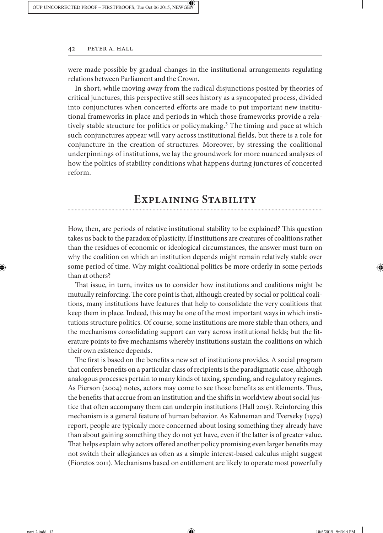were made possible by gradual changes in the institutional arrangements regulating relations between Parliament and the Crown.

 In short, while moving away from the radical disjunctions posited by theories of critical junctures, this perspective still sees history as a syncopated process, divided into conjunctures when concerted efforts are made to put important new institutional frameworks in place and periods in which those frameworks provide a relatively stable structure for politics or policymaking.<sup>3</sup> The timing and pace at which such conjunctures appear will vary across institutional fields, but there is a role for conjuncture in the creation of structures. Moreover, by stressing the coalitional underpinnings of institutions, we lay the groundwork for more nuanced analyses of how the politics of stability conditions what happens during junctures of concerted reform.

### **Explaining Stability**

How, then, are periods of relative institutional stability to be explained? This question takes us back to the paradox of plasticity. If institutions are creatures of coalitions rather than the residues of economic or ideological circumstances, the answer must turn on why the coalition on which an institution depends might remain relatively stable over some period of time. Why might coalitional politics be more orderly in some periods than at others?

That issue, in turn, invites us to consider how institutions and coalitions might be mutually reinforcing. The core point is that, although created by social or political coalitions, many institutions have features that help to consolidate the very coalitions that keep them in place. Indeed, this may be one of the most important ways in which institutions structure politics. Of course, some institutions are more stable than others, and the mechanisms consolidating support can vary across institutional fields; but the literature points to five mechanisms whereby institutions sustain the coalitions on which their own existence depends.

The first is based on the benefits a new set of institutions provides. A social program that confers benefits on a particular class of recipients is the paradigmatic case, although analogous processes pertain to many kinds of taxing, spending, and regulatory regimes. As Pierson (2004) notes, actors may come to see those benefits as entitlements. Thus, the benefits that accrue from an institution and the shifts in worldview about social justice that often accompany them can underpin institutions (Hall 2015). Reinforcing this mechanism is a general feature of human behavior. As Kahneman and Tverseky (1979) report, people are typically more concerned about losing something they already have than about gaining something they do not yet have, even if the latter is of greater value. That helps explain why actors offered another policy promising even larger benefits may not switch their allegiances as often as a simple interest-based calculus might suggest (Fioretos 2011). Mechanisms based on entitlement are likely to operate most powerfully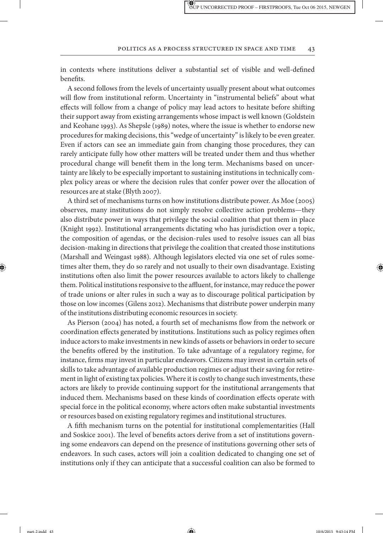in contexts where institutions deliver a substantial set of visible and well-defined benefits.

 A second follows from the levels of uncertainty usually present about what outcomes will flow from institutional reform. Uncertainty in "instrumental beliefs" about what effects will follow from a change of policy may lead actors to hesitate before shifting their support away from existing arrangements whose impact is well known (Goldstein and Keohane 1993). As Shepsle (1989) notes, where the issue is whether to endorse new procedures for making decisions, this "wedge of uncertainty" is likely to be even greater. Even if actors can see an immediate gain from changing those procedures, they can rarely anticipate fully how other matters will be treated under them and thus whether procedural change will benefit them in the long term. Mechanisms based on uncertainty are likely to be especially important to sustaining institutions in technically complex policy areas or where the decision rules that confer power over the allocation of resources are at stake (Blyth 2007).

 A third set of mechanisms turns on how institutions distribute power. As Moe (2005) observes, many institutions do not simply resolve collective action problems—they also distribute power in ways that privilege the social coalition that put them in place (Knight 1992). Institutional arrangements dictating who has jurisdiction over a topic, the composition of agendas, or the decision-rules used to resolve issues can all bias decision-making in directions that privilege the coalition that created those institutions (Marshall and Weingast 1988). Although legislators elected via one set of rules sometimes alter them, they do so rarely and not usually to their own disadvantage. Existing institutions often also limit the power resources available to actors likely to challenge them. Political institutions responsive to the affluent, for instance, may reduce the power of trade unions or alter rules in such a way as to discourage political participation by those on low incomes (Gilens 2012). Mechanisms that distribute power underpin many of the institutions distributing economic resources in society.

As Pierson  $(2004)$  has noted, a fourth set of mechanisms flow from the network or coordination effects generated by institutions. Institutions such as policy regimes often induce actors to make investments in new kinds of assets or behaviors in order to secure the benefits offered by the institution. To take advantage of a regulatory regime, for instance, firms may invest in particular endeavors. Citizens may invest in certain sets of skills to take advantage of available production regimes or adjust their saving for retirement in light of existing tax policies. Where it is costly to change such investments, these actors are likely to provide continuing support for the institutional arrangements that induced them. Mechanisms based on these kinds of coordination effects operate with special force in the political economy, where actors often make substantial investments or resources based on existing regulatory regimes and institutional structures.

A fifth mechanism turns on the potential for institutional complementarities (Hall and Soskice 2001). The level of benefits actors derive from a set of institutions governing some endeavors can depend on the presence of institutions governing other sets of endeavors. In such cases, actors will join a coalition dedicated to changing one set of institutions only if they can anticipate that a successful coalition can also be formed to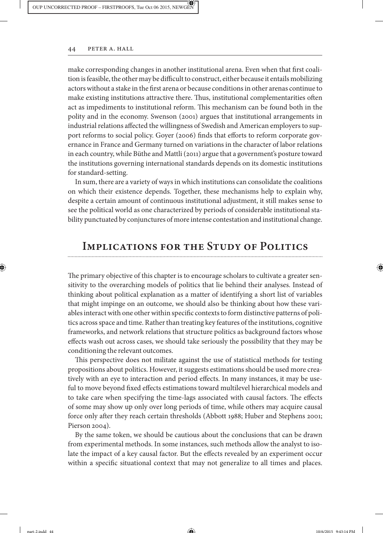make corresponding changes in another institutional arena. Even when that first coalition is feasible, the other may be difficult to construct, either because it entails mobilizing actors without a stake in the first arena or because conditions in other arenas continue to make existing institutions attractive there. Thus, institutional complementarities often act as impediments to institutional reform. This mechanism can be found both in the polity and in the economy. Swenson (2001) argues that institutional arrangements in industrial relations affected the willingness of Swedish and American employers to support reforms to social policy. Goyer (2006) finds that efforts to reform corporate governance in France and Germany turned on variations in the character of labor relations in each country, while Büthe and Mattli (2011) argue that a government's posture toward the institutions governing international standards depends on its domestic institutions for standard-setting.

 In sum, there are a variety of ways in which institutions can consolidate the coalitions on which their existence depends. Together, these mechanisms help to explain why, despite a certain amount of continuous institutional adjustment, it still makes sense to see the political world as one characterized by periods of considerable institutional stability punctuated by conjunctures of more intense contestation and institutional change.

### **Implications for the Study of Politics**

The primary objective of this chapter is to encourage scholars to cultivate a greater sensitivity to the overarching models of politics that lie behind their analyses. Instead of thinking about political explanation as a matter of identifying a short list of variables that might impinge on an outcome, we should also be thinking about how these variables interact with one other within specific contexts to form distinctive patterns of politics across space and time. Rather than treating key features of the institutions, cognitive frameworks, and network relations that structure politics as background factors whose effects wash out across cases, we should take seriously the possibility that they may be conditioning the relevant outcomes.

This perspective does not militate against the use of statistical methods for testing propositions about politics. However, it suggests estimations should be used more creatively with an eye to interaction and period effects. In many instances, it may be useful to move beyond fixed effects estimations toward multilevel hierarchical models and to take care when specifying the time-lags associated with causal factors. The effects of some may show up only over long periods of time, while others may acquire causal force only after they reach certain thresholds (Abbott 1988; Huber and Stephens 2001; Pierson 2004).

 By the same token, we should be cautious about the conclusions that can be drawn from experimental methods. In some instances, such methods allow the analyst to isolate the impact of a key causal factor. But the effects revealed by an experiment occur within a specific situational context that may not generalize to all times and places.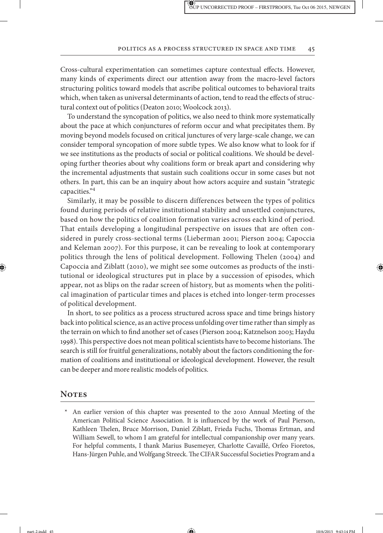Cross-cultural experimentation can sometimes capture contextual effects. However, many kinds of experiments direct our attention away from the macro-level factors structuring politics toward models that ascribe political outcomes to behavioral traits which, when taken as universal determinants of action, tend to read the effects of structural context out of politics (Deaton 2010; Woolcock 2013).

 To understand the syncopation of politics, we also need to think more systematically about the pace at which conjunctures of reform occur and what precipitates them. By moving beyond models focused on critical junctures of very large-scale change, we can consider temporal syncopation of more subtle types. We also know what to look for if we see institutions as the products of social or political coalitions. We should be developing further theories about why coalitions form or break apart and considering why the incremental adjustments that sustain such coalitions occur in some cases but not others. In part, this can be an inquiry about how actors acquire and sustain "strategic capacities."4

 Similarly, it may be possible to discern differences between the types of politics found during periods of relative institutional stability and unsettled conjunctures, based on how the politics of coalition formation varies across each kind of period. That entails developing a longitudinal perspective on issues that are often considered in purely cross-sectional terms (Lieberman 2001; Pierson 2004; Capoccia and Keleman 2007). For this purpose, it can be revealing to look at contemporary politics through the lens of political development. Following Thelen (2004) and Capoccia and Ziblatt (2010), we might see some outcomes as products of the institutional or ideological structures put in place by a succession of episodes, which appear, not as blips on the radar screen of history, but as moments when the political imagination of particular times and places is etched into longer-term processes of political development.

 In short, to see politics as a process structured across space and time brings history back into political science, as an active process unfolding over time rather than simply as the terrain on which to find another set of cases (Pierson 2004; Katznelson 2003; Haydu 1998). This perspective does not mean political scientists have to become historians. The search is still for fruitful generalizations, notably about the factors conditioning the formation of coalitions and institutional or ideological development. However, the result can be deeper and more realistic models of politics.

### **NOTES**

 \* An earlier version of this chapter was presented to the 2010 Annual Meeting of the American Political Science Association. It is influenced by the work of Paul Pierson, Kathleen Thelen, Bruce Morrison, Daniel Ziblatt, Frieda Fuchs, Thomas Ertman, and William Sewell, to whom I am grateful for intellectual companionship over many years. For helpful comments, I thank Marius Busemeyer, Charlotte Cavaillé, Orfeo Fioretos, Hans-Jürgen Puhle, and Wolfgang Streeck. The CIFAR Successful Societies Program and a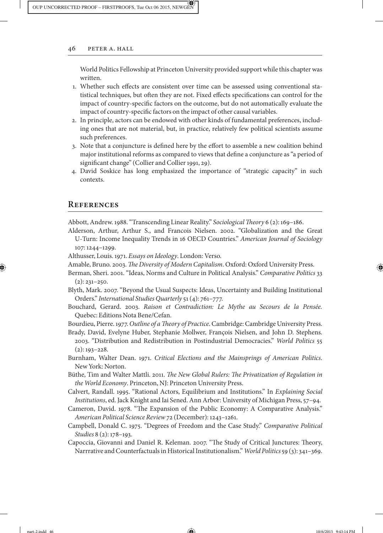World Politics Fellowship at Princeton University provided support while this chapter was written.

- 1. Whether such effects are consistent over time can be assessed using conventional statistical techniques, but often they are not. Fixed effects specifications can control for the impact of country-specifi c factors on the outcome, but do not automatically evaluate the impact of country-specific factors on the impact of other causal variables.
- 2. In principle, actors can be endowed with other kinds of fundamental preferences, including ones that are not material, but, in practice, relatively few political scientists assume such preferences.
- 3. Note that a conjuncture is defined here by the effort to assemble a new coalition behind major institutional reforms as compared to views that define a conjuncture as "a period of significant change" (Collier and Collier 1991, 29).
- 4. David Soskice has long emphasized the importance of "strategic capacity" in such contexts.

### **References**

Abbott, Andrew. 1988. "Transcending Linear Reality." *Sociological Theory* 6 (2): 169-186.

- Alderson, Arthur , Arthur S. , and Francois Nielsen . 2002 . "Globalization and the Great U-Turn: Income Inequality Trends in 16 OECD Countries." *American Journal of Sociology* 107: 1244-1299.
- Althusser, Louis. 1971. *Essays on Ideology*. London: Verso.
- Amable, Bruno. 2003. *The Diversity of Modern Capitalism*. Oxford: Oxford University Press.
- Berman, Sheri. 2001 . "Ideas, Norms and Culture in Political Analysis." *Comparative Politics* 33  $(2)$ : 231–250.
- Blyth, Mark. 2007 . "Beyond the Usual Suspects: Ideas, Uncertainty and Building Institutional Orders." *International Studies Quarterly* 51 (4): 761–777.
- Bouchard, Gerard. 2003. Raison et Contradiction: Le Mythe au Secours de la Pensée. Quebec: Editions Nota Bene/Cefan.

Bourdieu, Pierre. 1977. *Outline of a Theory of Practice*. Cambridge: Cambridge University Press.

- Brady, David, Evelyne Huber, Stephanie Mollwer, Francois Nielsen, and John D. Stephens. 2003 . "Distribution and Redistribution in Postindustrial Democracies." *World Politics* 55  $(2)$ : 193-228.
- Burnham, Walter Dean. 1971. *Critical Elections and the Mainsprings of American Politics*. New York: Norton.
- Büthe, Tim and Walter Mattli. 2011. *The New Global Rulers: The Privatization of Regulation in the World Economy*. Princeton, NJ: Princeton University Press.
- Calvert, Randall. 1995 . "Rational Actors, Equilibrium and Institutions." In *Explaining Social Institutions*, ed. Jack Knight and Iai Sened. Ann Arbor: University of Michigan Press, 57-94.
- Cameron, David. 1978. "The Expansion of the Public Economy: A Comparative Analysis." *American Political Science Review* 72 (December): 1243–1261 .
- Campbell, Donald C. 1975 . "Degrees of Freedom and the Case Study." *Comparative Political Studies* 8 (2): 178–193.
- Capoccia, Giovanni and Daniel R. Keleman. 2007. "The Study of Critical Junctures: Theory, Narrrative and Counterfactuals in Historical Institutionalism." *World Politics* 59 (3): 341-369.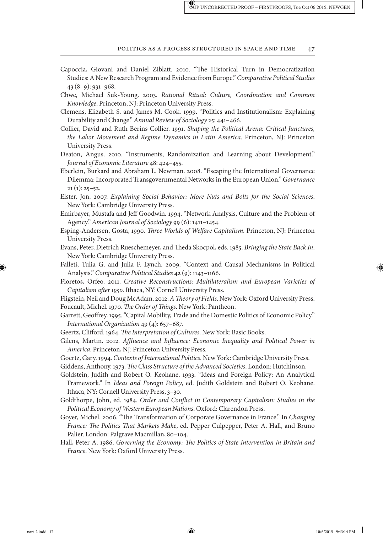- Capoccia, Giovani and Daniel Ziblatt. 2010. "The Historical Turn in Democratization Studies: A New Research Program and Evidence from Europe." *Comparative Political Studies*  $43(8-9): 931-968.$
- Chwe, Michael Suk-Young. 2003 . *Rational Ritual: Culture, Coordination and Common*  Knowledge. Princeton, NJ: Princeton University Press.
- Clemens, Elizabeth S. and James M. Cook . 1999 . "Politics and Institutionalism: Explaining Durability and Change." Annual Review of Sociology 25: 441-466.
- Collier, David and Ruth Berins Collier . 1991 . *Shaping the Political Arena: Critical Junctures, the Labor Movement and Regime Dynamics in Latin America. Princeton, NJ: Princeton* University Press .
- Deaton, Angus. 2010 . "Instruments, Randomization and Learning about Development." Journal of Economic Literature 48: 424-455.
- Eberlein, Burkard and Abraham L. Newman . 2008 . "Escaping the International Governance Dilemma: Incorporated Transgovernmental Networks in the European Union." *Governance*  $21 (1)$ : 25–52.
- Elster, Jon. 2007 . *Explaining Social Behavior: More Nuts and Bolts for the Social Sciences* . New York: Cambridge University Press.
- Emirbayer, Mustafa and Jeff Goodwin. 1994. "Network Analysis, Culture and the Problem of Agency." American Journal of Sociology 99 (6): 1411-1454.
- Esping-Andersen, Gosta, 1990. *Three Worlds of Welfare Capitalism*. Princeton, NJ: Princeton University Press .
- Evans, Peter, Dietrich Rueschemeyer, and Theda Skocpol, eds. 1985. *Bringing the State Back In*. New York: Cambridge University Press.
- Falleti, Tulia G. and Julia F. Lynch . 2009 . "Context and Causal Mechanisms in Political Analysis." *Comparative Political Studies* 42 (9): 1143-1166.
- Fioretos, Orfeo. 2011 . *Creative Reconstructions: Multilateralism and European Varieties of*  Capitalism after 1950. Ithaca, NY: Cornell University Press.
- Fligstein, Neil and Doug McAdam. 2012. *A Theory of Fields*. New York: Oxford University Press. Foucault, Michel. 1970. *The Order of Things*. New York: Pantheon.
- Garrett, Geoffrey. 1995. "Capital Mobility, Trade and the Domestic Politics of Economic Policy." *International Organization* 49 (4): 657-687.

Geertz, Clifford. 1964. *The Interpretation of Cultures*. New York: Basic Books.

- Gilens, Martin. 2012. *Affluence and Influence: Economic Inequality and Political Power in* America. Princeton, NJ: Princeton University Press.
- Goertz, Gary. 1994 . *Contexts of International Politics* . New York : Cambridge University Press .
- Giddens, Anthony. 1973. *The Class Structure of the Advanced Societies*. London: Hutchinson.
- Goldstein, Judith and Robert O. Keohane , 1993 . "Ideas and Foreign Policy: An Analytical Framework." In *Ideas and Foreign Policy* , ed. Judith Goldstein and Robert O. Keohane . Ithaca, NY: Cornell University Press, 3-30.
- Goldthorpe, John, ed. 1984. *Order and Conflict in Contemporary Capitalism: Studies in the Political Economy of Western European Nations*. Oxford: Clarendon Press.
- Goyer, Michel. 2006. "The Transformation of Corporate Governance in France." In *Changing France: The Politics That Markets Make*, ed. Pepper Culpepper, Peter A. Hall, and Bruno Palier. London: Palgrave Macmillan, 80-104.
- Hall, Peter A. 1986. Governing the Economy: The Politics of State Intervention in Britain and France. New York: Oxford University Press.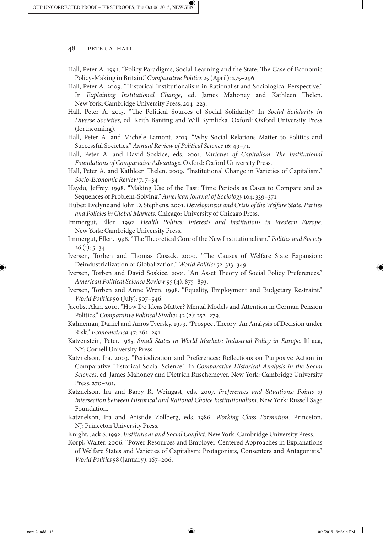- Hall, Peter A. 1993. "Policy Paradigms, Social Learning and the State: The Case of Economic Policy-Making in Britain." *Comparative Politics* 25 (April): 275–296 .
- Hall, Peter A. 2009 . "Historical Institutionalism in Rationalist and Sociological Perspective." In *Explaining Institutional Change*, ed. James Mahoney and Kathleen Thelen. New York: Cambridge University Press, 204-223.
- Hall, Peter A. 2015. "The Political Sources of Social Solidarity." In *Social Solidarity in Diverse Societies* , ed. Keith Banting and Will Kymlicka . Oxford : Oxford University Press (forthcoming).
- Hall, Peter A. and Michèle Lamont. 2013. "Why Social Relations Matter to Politics and Successful Societies." *Annual Review of Political Science* 16 : 49–71 .
- Hall, Peter A. and David Soskice, eds. 2001. *Varieties of Capitalism: The Institutional Foundations of Comparative Advantage* . Oxford : Oxford University Press .
- Hall, Peter A. and Kathleen Thelen. 2009. "Institutional Change in Varieties of Capitalism." *Socio-Economic Review* 7: 7-34
- Haydu, Jeffrey. 1998. "Making Use of the Past: Time Periods as Cases to Compare and as Sequences of Problem-Solving." *American Journal of Sociology* 104: 339–371.
- Huber, Evelyne and John D. Stephens . 2001 . *Development and Crisis of the Welfare State: Parties and Policies in Global Markets* . Chicago : University of Chicago Press .
- Immergut, Ellen. 1992 . *Health Politics: Interests and Institutions in Western Europe* . New York: Cambridge University Press.
- Immergut, Ellen. 1998. "The Theoretical Core of the New Institutionalism." *Politics and Society*  $26 (1): 5-34.$
- Iversen, Torben and Thomas Cusack. 2000. "The Causes of Welfare State Expansion: Deindustrialization or Globalization." *World Politics* 52: 313-349.
- Iversen, Torben and David Soskice. 2001. "An Asset Theory of Social Policy Preferences." *American Political Science Review* 95 ( 4 ): 875–893 .
- Iversen, Torben and Anne Wren. 1998. "Equality, Employment and Budgetary Restraint." *World Politics* 50 (July): 507–546 .
- Jacobs, Alan. 2010 . "How Do Ideas Matter? Mental Models and Attention in German Pension Politics." *Comparative Political Studies* 42 (2): 252–279.
- Kahneman, Daniel and Amos Tversky. 1979. "Prospect Theory: An Analysis of Decision under Risk." *Econometrica* 47 : 263–291 .
- Katzenstein, Peter. 1985 . *Small States in World Markets: Industrial Policy in Europe* . Ithaca, NY: Cornell University Press.
- Katznelson, Ira. 2003. "Periodization and Preferences: Reflections on Purposive Action in Comparative Historical Social Science." In *Comparative Historical Analysis in the Social Sciences* , ed. James Mahoney and Dietrich Ruschemeyer . New York : Cambridge University Press, 270–301.
- Katznelson, Ira and Barry R. Weingast, eds. 2007. Preferences and Situations: Points of *Intersection between Historical and Rational Choice Institutionalism*. New York: Russell Sage Foundation.
- Katznelson, Ira and Aristide Zollberg, eds. 1986. Working Class Formation. Princeton, NJ: Princeton University Press.
- Knight, Jack S. 1992. *Institutions and Social Conflict*. New York: Cambridge University Press.
- Korpi, Walter. 2006 . "Power Resources and Employer-Centered Approaches in Explanations of Welfare States and Varieties of Capitalism: Protagonists, Consenters and Antagonists." *World Politics* 58 (January): 167–206 .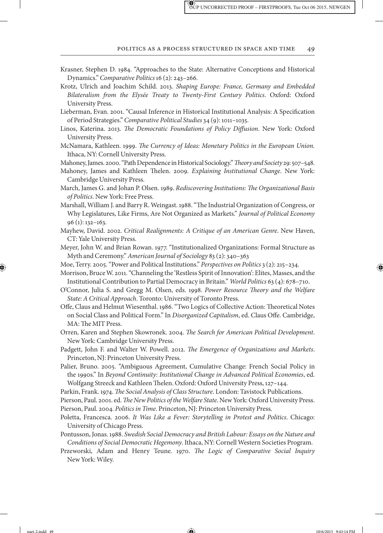- Krasner, Stephen D. 1984 . "Approaches to the State: Alternative Conceptions and Historical Dynamics." *Comparative Politics* 16 (2): 243-266.
- Krotz, Ulrich and Joachim Schild. 2013. Shaping Europe: France, Germany and Embedded Bilateralism from the Elysée Treaty to Twenty-First Century Politics. Oxford: Oxford University Press .
- Lieberman, Evan. 2001. "Causal Inference in Historical Institutional Analysis: A Specification of Period Strategies." *Comparative Political Studies* 34 ( 9 ): 1011–1035 .
- Linos, Katerina. 2013. *The Democratic Foundations of Policy Diffusion*. New York: Oxford University Press .
- McNamara, Kathleen. 1999. *The Currency of Ideas: Monetary Politics in the European Union.* Ithaca, NY: Cornell University Press.
- Mahoney, James. 2000. "Path Dependence in Historical Sociology." *Theory and Society* 29: 507-548.
- Mahoney, James and Kathleen Thelen. 2009. *Explaining Institutional Change*. New York: Cambridge University Press .
- March, James G. and Johan P. Olsen. 1989. *Rediscovering Institutions: The Organizational Basis* of Politics. New York: Free Press.
- Marshall, William J. and Barry R. Weingast. 1988. "The Industrial Organization of Congress, or Why Legislatures, Like Firms, Are Not Organized as Markets." *Journal of Political Economy*  $96 (1): 132 - 163.$
- Mayhew, David. 2002 . *Critical Realignments: A Critique of an American Genre* . New Haven, CT: Yale University Press.
- Meyer, John W. and Brian Rowan . 1977 . "Institutionalized Organizations: Formal Structure as Myth and Ceremony." *American Journal of Sociology* 83 ( 2 ): 340–363
- Moe, Terry. 2005. "Power and Political Institutions." *Perspectives on Politics* 3 (2): 215–234.
- Morrison, Bruce W. 2011 . "Channeling the 'Restless Spirit of Innovation': Elites, Masses, and the Institutional Contribution to Partial Democracy in Britain." *World Politics* 63 (4): 678–710.
- O'Connor, Julia S. and Gregg M. Olsen, eds. 1998. Power Resource Theory and the Welfare State: A Critical Approach. Toronto: University of Toronto Press.
- Offe, Claus and Helmut Wiesenthal. 1986. "Two Logics of Collective Action: Theoretical Notes on Social Class and Political Form." In *Disorganized Capitalism*, ed. Claus Offe. Cambridge, MA: The MIT Press.
- Orren, Karen and Stephen Skowronek. 2004. *The Search for American Political Development*. New York: Cambridge University Press.
- Padgett, John F. and Walter W. Powell. 2012. *The Emergence of Organizations and Markets*. Princeton, NJ: Princeton University Press.
- Palier, Bruno. 2005 . "Ambiguous Agreement, Cumulative Change: French Social Policy in the 1990s." In *Beyond Continuity: Institutional Change in Advanced Political Economies* , ed. Wolfgang Streeck and Kathleen Thelen. Oxford: Oxford University Press, 127-144.
- Parkin, Frank. 1974. *The Social Analysis of Class Structure*. London: Tavistock Publications.
- Pierson, Paul. 2001. ed. *The New Politics of the Welfare State*. New York: Oxford University Press. Pierson, Paul. 2004. *Politics in Time*. Princeton, NJ: Princeton University Press.
- Poletta, Francesca. 2006. It Was Like a Fever: Storytelling in Protest and Politics. Chicago: University of Chicago Press .
- Pontusson, Jonas. 1988 . *Swedish Social Democracy and British Labour: Essays on the Nature and Conditions of Social Democratic Hegemony* . Ithaca, NY : Cornell Western Societies Program .
- Przeworski, Adam and Henry Teune. 1970. *The Logic of Comparative Social Inquiry* New York: Wiley.